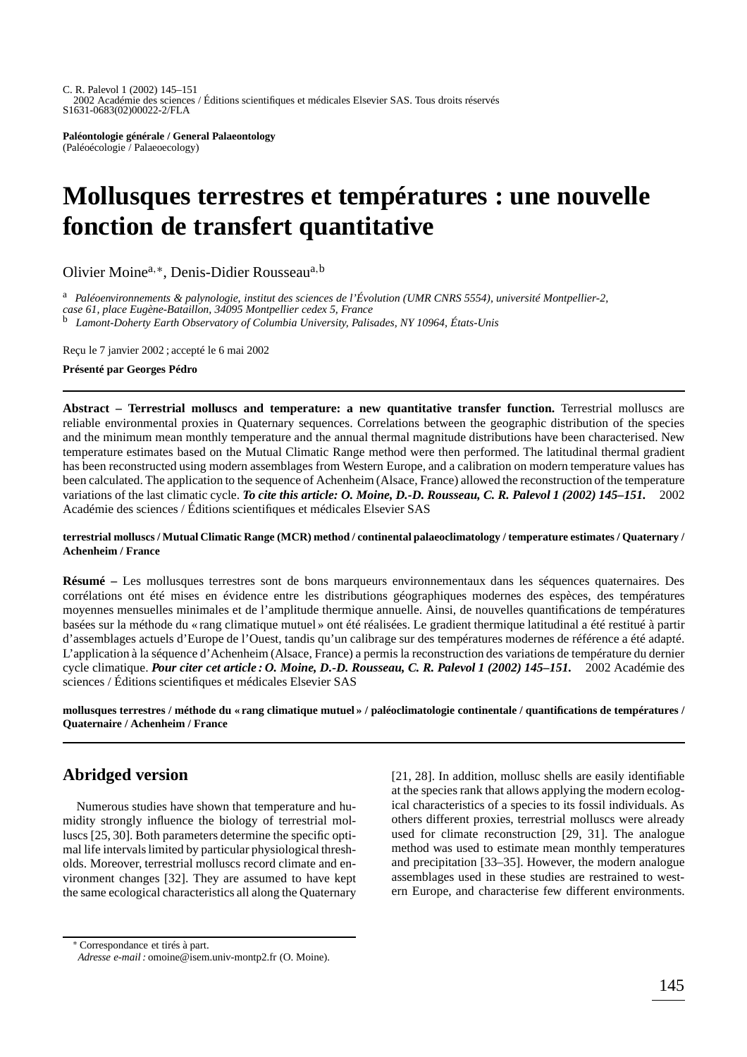C. R. Palevol 1 (2002) 145–151 2002 Académie des sciences / Éditions scientifiques et médicales Elsevier SAS. Tous droits réservés S1631-0683(02)00022-2/FLA

**Paléontologie générale / General Palaeontology** (Paléoécologie / Palaeoecology)

# **Mollusques terrestres et températures : une nouvelle fonction de transfert quantitative**

Olivier Moinea*,*∗, Denis-Didier Rousseaua*,*<sup>b</sup>

<sup>a</sup> *Paléoenvironnements & palynologie, institut des sciences de l'Évolution (UMR CNRS 5554), université Montpellier-2, case 61, place Eugène-Bataillon, 34095 Montpellier cedex 5, France* <sup>b</sup> *Lamont-Doherty Earth Observatory of Columbia University, Palisades, NY 10964, États-Unis*

Reçu le 7 janvier 2002 ; accepté le 6 mai 2002

#### **Présenté par Georges Pédro**

**Abstract – Terrestrial molluscs and temperature: a new quantitative transfer function.** Terrestrial molluscs are reliable environmental proxies in Quaternary sequences. Correlations between the geographic distribution of the species and the minimum mean monthly temperature and the annual thermal magnitude distributions have been characterised. New temperature estimates based on the Mutual Climatic Range method were then performed. The latitudinal thermal gradient has been reconstructed using modern assemblages from Western Europe, and a calibration on modern temperature values has been calculated. The application to the sequence of Achenheim (Alsace, France) allowed the reconstruction of the temperature variations of the last climatic cycle. *To cite this article: O. Moine, D.-D. Rousseau, C. R. Palevol 1 (2002) 145–151*.  $\circ$  2002 Académie des sciences / Éditions scientifiques et médicales Elsevier SAS

#### **terrestrial molluscs / Mutual Climatic Range (MCR) method / continental palaeoclimatology / temperature estimates / Quaternary / Achenheim / France**

**Résumé –** Les mollusques terrestres sont de bons marqueurs environnementaux dans les séquences quaternaires. Des corrélations ont été mises en évidence entre les distributions géographiques modernes des espèces, des températures moyennes mensuelles minimales et de l'amplitude thermique annuelle. Ainsi, de nouvelles quantifications de températures basées sur la méthode du « rang climatique mutuel » ont été réalisées. Le gradient thermique latitudinal a été restitué à partir d'assemblages actuels d'Europe de l'Ouest, tandis qu'un calibrage sur des températures modernes de référence a été adapté. L'application à la séquence d'Achenheim (Alsace, France) a permis la reconstruction des variations de température du dernier cycle climatique. *Pour citer cet article : O. Moine, D.-D. Rousseau, C. R. Palevol 1 (2002) 145–151*. 
In 2002 Académie des sciences / Éditions scientifiques et médicales Elsevier SAS

**mollusques terrestres / méthode du « rang climatique mutuel » / paléoclimatologie continentale / quantifications de températures / Quaternaire / Achenheim / France**

# **Abridged version**

Numerous studies have shown that temperature and humidity strongly influence the biology of terrestrial molluscs [25, 30]. Both parameters determine the specific optimal life intervals limited by particular physiological thresholds. Moreover, terrestrial molluscs record climate and environment changes [32]. They are assumed to have kept the same ecological characteristics all along the Quaternary [21, 28]. In addition, mollusc shells are easily identifiable at the species rank that allows applying the modern ecological characteristics of a species to its fossil individuals. As others different proxies, terrestrial molluscs were already used for climate reconstruction [29, 31]. The analogue method was used to estimate mean monthly temperatures and precipitation [33–35]. However, the modern analogue assemblages used in these studies are restrained to western Europe, and characterise few different environments.

∗ Correspondance et tirés à part.

*Adresse e-mail :* omoine@isem.univ-montp2.fr (O. Moine).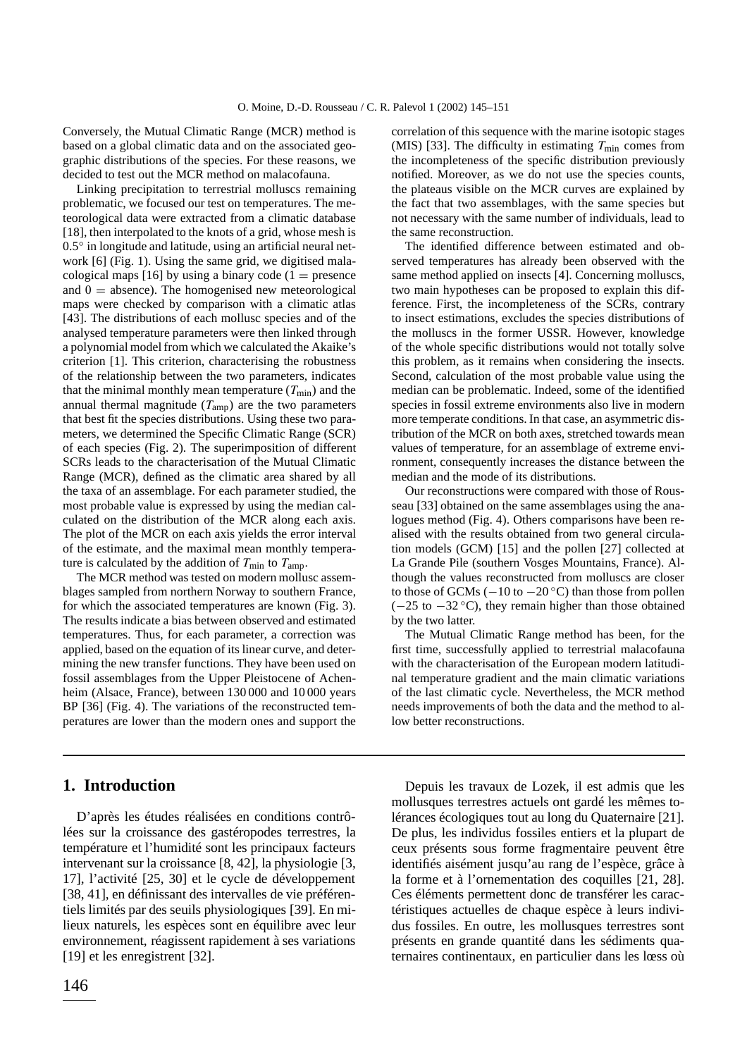Conversely, the Mutual Climatic Range (MCR) method is based on a global climatic data and on the associated geographic distributions of the species. For these reasons, we decided to test out the MCR method on malacofauna.

Linking precipitation to terrestrial molluscs remaining problematic, we focused our test on temperatures. The meteorological data were extracted from a climatic database [18], then interpolated to the knots of a grid, whose mesh is 0.5◦ in longitude and latitude, using an artificial neural network [6] (Fig. 1). Using the same grid, we digitised malacological maps [16] by using a binary code (1 = presence and  $0 =$  absence). The homogenised new meteorological maps were checked by comparison with a climatic atlas [43]. The distributions of each mollusc species and of the analysed temperature parameters were then linked through a polynomial model from which we calculated the Akaike's criterion [1]. This criterion, characterising the robustness of the relationship between the two parameters, indicates that the minimal monthly mean temperature  $(T_{\text{min}})$  and the annual thermal magnitude (*T*amp) are the two parameters that best fit the species distributions. Using these two parameters, we determined the Specific Climatic Range (SCR) of each species (Fig. 2). The superimposition of different SCRs leads to the characterisation of the Mutual Climatic Range (MCR), defined as the climatic area shared by all the taxa of an assemblage. For each parameter studied, the most probable value is expressed by using the median calculated on the distribution of the MCR along each axis. The plot of the MCR on each axis yields the error interval of the estimate, and the maximal mean monthly temperature is calculated by the addition of  $T_{\text{min}}$  to  $T_{\text{ann}}$ .

The MCR method was tested on modern mollusc assemblages sampled from northern Norway to southern France, for which the associated temperatures are known (Fig. 3). The results indicate a bias between observed and estimated temperatures. Thus, for each parameter, a correction was applied, based on the equation of its linear curve, and determining the new transfer functions. They have been used on fossil assemblages from the Upper Pleistocene of Achenheim (Alsace, France), between 130 000 and 10 000 years BP [36] (Fig. 4). The variations of the reconstructed temperatures are lower than the modern ones and support the correlation of this sequence with the marine isotopic stages (MIS) [33]. The difficulty in estimating  $T_{\text{min}}$  comes from the incompleteness of the specific distribution previously notified. Moreover, as we do not use the species counts, the plateaus visible on the MCR curves are explained by the fact that two assemblages, with the same species but not necessary with the same number of individuals, lead to the same reconstruction.

The identified difference between estimated and observed temperatures has already been observed with the same method applied on insects [4]. Concerning molluscs, two main hypotheses can be proposed to explain this difference. First, the incompleteness of the SCRs, contrary to insect estimations, excludes the species distributions of the molluscs in the former USSR. However, knowledge of the whole specific distributions would not totally solve this problem, as it remains when considering the insects. Second, calculation of the most probable value using the median can be problematic. Indeed, some of the identified species in fossil extreme environments also live in modern more temperate conditions. In that case, an asymmetric distribution of the MCR on both axes, stretched towards mean values of temperature, for an assemblage of extreme environment, consequently increases the distance between the median and the mode of its distributions.

Our reconstructions were compared with those of Rousseau [33] obtained on the same assemblages using the analogues method (Fig. 4). Others comparisons have been realised with the results obtained from two general circulation models (GCM) [15] and the pollen [27] collected at La Grande Pile (southern Vosges Mountains, France). Although the values reconstructed from molluscs are closer to those of GCMs ( $-10$  to  $-20$  °C) than those from pollen  $(-25 \text{ to } -32 \degree \text{C})$ , they remain higher than those obtained by the two latter.

The Mutual Climatic Range method has been, for the first time, successfully applied to terrestrial malacofauna with the characterisation of the European modern latitudinal temperature gradient and the main climatic variations of the last climatic cycle. Nevertheless, the MCR method needs improvements of both the data and the method to allow better reconstructions.

## **1. Introduction**

D'après les études réalisées en conditions contrôlées sur la croissance des gastéropodes terrestres, la température et l'humidité sont les principaux facteurs intervenant sur la croissance [8, 42], la physiologie [3, 17], l'activité [25, 30] et le cycle de développement [38, 41], en définissant des intervalles de vie préférentiels limités par des seuils physiologiques [39]. En milieux naturels, les espèces sont en équilibre avec leur environnement, réagissent rapidement à ses variations [19] et les enregistrent [32].

146

Depuis les travaux de Lozek, il est admis que les mollusques terrestres actuels ont gardé les mêmes tolérances écologiques tout au long du Quaternaire [21]. De plus, les individus fossiles entiers et la plupart de ceux présents sous forme fragmentaire peuvent être identifiés aisément jusqu'au rang de l'espèce, grâce à la forme et à l'ornementation des coquilles [21, 28]. Ces éléments permettent donc de transférer les caractéristiques actuelles de chaque espèce à leurs individus fossiles. En outre, les mollusques terrestres sont présents en grande quantité dans les sédiments quaternaires continentaux, en particulier dans les lœss où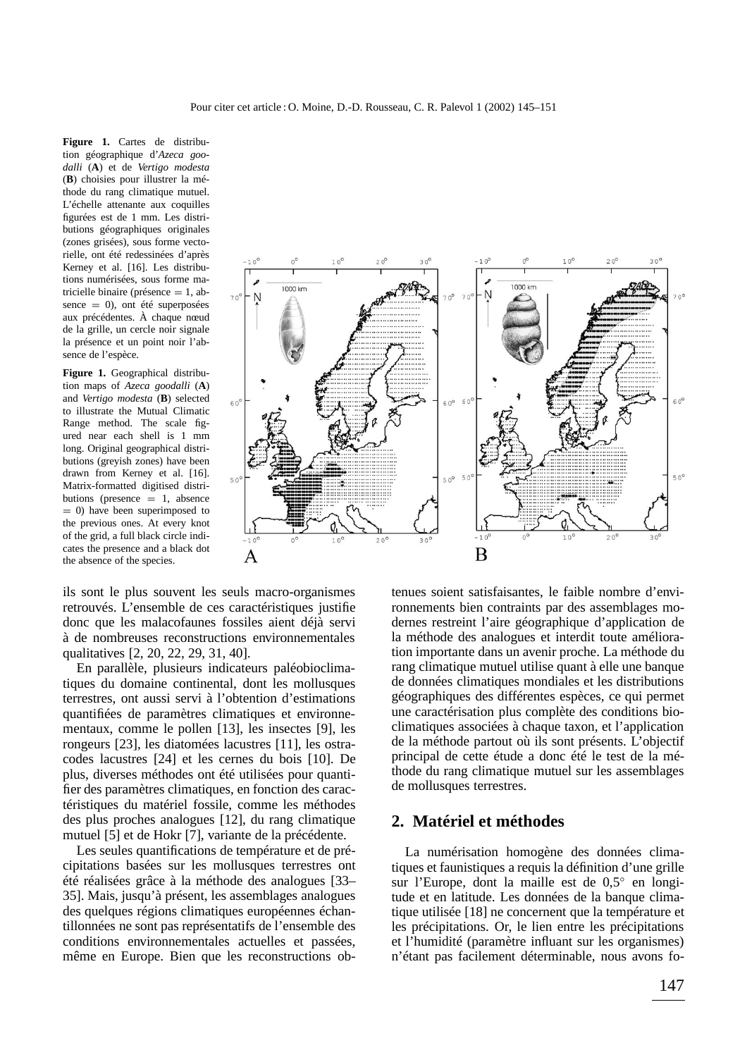**Figure 1.** Cartes de distribution géographique d'*Azeca goodalli* (**A**) et de *Vertigo modesta* (**B**) choisies pour illustrer la méthode du rang climatique mutuel. L'échelle attenante aux coquilles figurées est de 1 mm. Les distributions géographiques originales (zones grisées), sous forme vectorielle, ont été redessinées d'après Kerney et al. [16]. Les distributions numérisées, sous forme matricielle binaire (présence  $= 1$ , ab $sence = 0$ , ont été superposées aux précédentes. À chaque nœud de la grille, un cercle noir signale la présence et un point noir l'absence de l'espèce.

**Figure 1.** Geographical distribution maps of *Azeca goodalli* (**A**) and *Vertigo modesta* (**B**) selected to illustrate the Mutual Climatic Range method. The scale figured near each shell is 1 mm long. Original geographical distributions (greyish zones) have been drawn from Kerney et al. [16]. Matrix-formatted digitised distributions (presence  $= 1$ , absence  $= 0$ ) have been superimposed to the previous ones. At every knot of the grid, a full black circle indicates the presence and a black dot the absence of the species.

ils sont le plus souvent les seuls macro-organismes retrouvés. L'ensemble de ces caractéristiques justifie donc que les malacofaunes fossiles aient déjà servi à de nombreuses reconstructions environnementales qualitatives [2, 20, 22, 29, 31, 40].

En parallèle, plusieurs indicateurs paléobioclimatiques du domaine continental, dont les mollusques terrestres, ont aussi servi à l'obtention d'estimations quantifiées de paramètres climatiques et environnementaux, comme le pollen [13], les insectes [9], les rongeurs [23], les diatomées lacustres [11], les ostracodes lacustres [24] et les cernes du bois [10]. De plus, diverses méthodes ont été utilisées pour quantifier des paramètres climatiques, en fonction des caractéristiques du matériel fossile, comme les méthodes des plus proches analogues [12], du rang climatique mutuel [5] et de Hokr [7], variante de la précédente.

Les seules quantifications de température et de précipitations basées sur les mollusques terrestres ont été réalisées grâce à la méthode des analogues [33– 35]. Mais, jusqu'à présent, les assemblages analogues des quelques régions climatiques européennes échantillonnées ne sont pas représentatifs de l'ensemble des conditions environnementales actuelles et passées, même en Europe. Bien que les reconstructions ob-



tenues soient satisfaisantes, le faible nombre d'environnements bien contraints par des assemblages modernes restreint l'aire géographique d'application de la méthode des analogues et interdit toute amélioration importante dans un avenir proche. La méthode du rang climatique mutuel utilise quant à elle une banque de données climatiques mondiales et les distributions géographiques des différentes espèces, ce qui permet une caractérisation plus complète des conditions bioclimatiques associées à chaque taxon, et l'application de la méthode partout où ils sont présents. L'objectif principal de cette étude a donc été le test de la méthode du rang climatique mutuel sur les assemblages de mollusques terrestres.

## **2. Matériel et méthodes**

La numérisation homogène des données climatiques et faunistiques a requis la définition d'une grille sur l'Europe, dont la maille est de 0,5◦ en longitude et en latitude. Les données de la banque climatique utilisée [18] ne concernent que la température et les précipitations. Or, le lien entre les précipitations et l'humidité (paramètre influant sur les organismes) n'étant pas facilement déterminable, nous avons fo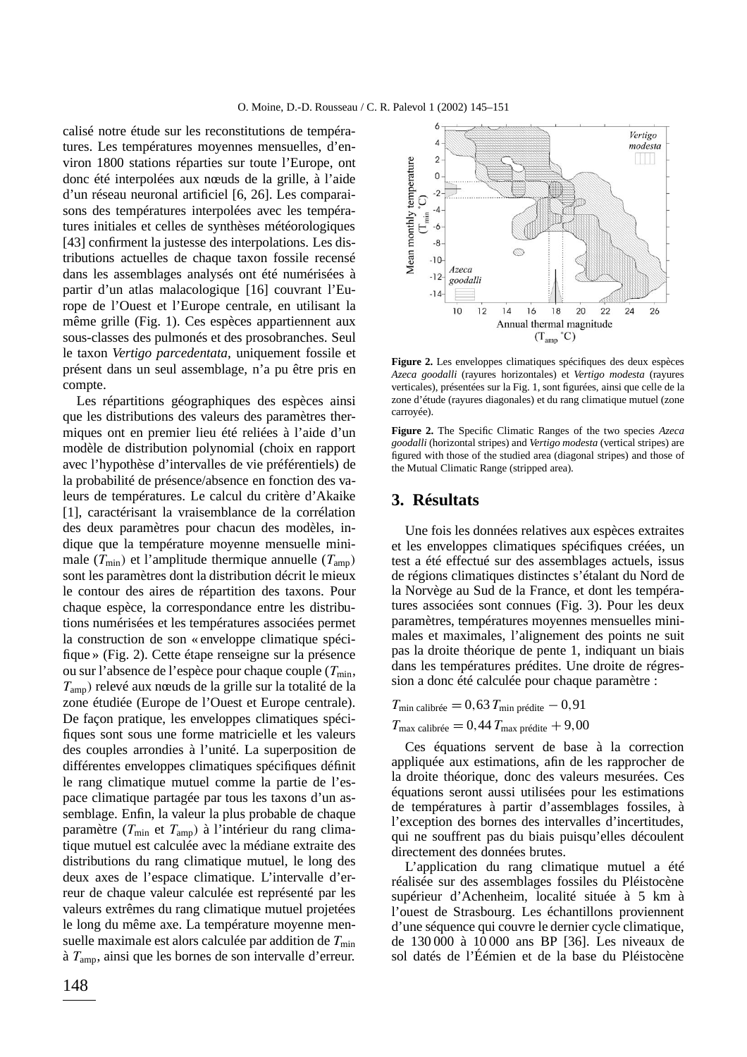calisé notre étude sur les reconstitutions de températures. Les températures moyennes mensuelles, d'environ 1800 stations réparties sur toute l'Europe, ont donc été interpolées aux nœuds de la grille, à l'aide d'un réseau neuronal artificiel [6, 26]. Les comparaisons des températures interpolées avec les températures initiales et celles de synthèses météorologiques [43] confirment la justesse des interpolations. Les distributions actuelles de chaque taxon fossile recensé dans les assemblages analysés ont été numérisées à partir d'un atlas malacologique [16] couvrant l'Europe de l'Ouest et l'Europe centrale, en utilisant la même grille (Fig. 1). Ces espèces appartiennent aux sous-classes des pulmonés et des prosobranches. Seul le taxon *Vertigo parcedentata*, uniquement fossile et présent dans un seul assemblage, n'a pu être pris en compte.

Les répartitions géographiques des espèces ainsi que les distributions des valeurs des paramètres thermiques ont en premier lieu été reliées à l'aide d'un modèle de distribution polynomial (choix en rapport avec l'hypothèse d'intervalles de vie préférentiels) de la probabilité de présence/absence en fonction des valeurs de températures. Le calcul du critère d'Akaike [1], caractérisant la vraisemblance de la corrélation des deux paramètres pour chacun des modèles, indique que la température moyenne mensuelle minimale  $(T_{min})$  et l'amplitude thermique annuelle  $(T_{ann})$ sont les paramètres dont la distribution décrit le mieux le contour des aires de répartition des taxons. Pour chaque espèce, la correspondance entre les distributions numérisées et les températures associées permet la construction de son « enveloppe climatique spécifique » (Fig. 2). Cette étape renseigne sur la présence ou sur l'absence de l'espèce pour chaque couple ( $T_{\text{min}}$ , *T*amp*)* relevé aux nœuds de la grille sur la totalité de la zone étudiée (Europe de l'Ouest et Europe centrale). De façon pratique, les enveloppes climatiques spécifiques sont sous une forme matricielle et les valeurs des couples arrondies à l'unité. La superposition de différentes enveloppes climatiques spécifiques définit le rang climatique mutuel comme la partie de l'espace climatique partagée par tous les taxons d'un assemblage. Enfin, la valeur la plus probable de chaque paramètre ( $T_{\text{min}}$  et  $T_{\text{amp}}$ ) à l'intérieur du rang climatique mutuel est calculée avec la médiane extraite des distributions du rang climatique mutuel, le long des deux axes de l'espace climatique. L'intervalle d'erreur de chaque valeur calculée est représenté par les valeurs extrêmes du rang climatique mutuel projetées le long du même axe. La température moyenne mensuelle maximale est alors calculée par addition de  $T_{\text{min}}$ à *T*amp, ainsi que les bornes de son intervalle d'erreur.



**Figure 2.** Les enveloppes climatiques spécifiques des deux espèces *Azeca goodalli* (rayures horizontales) et *Vertigo modesta* (rayures verticales), présentées sur la Fig. 1, sont figurées, ainsi que celle de la zone d'étude (rayures diagonales) et du rang climatique mutuel (zone carroyée).

**Figure 2.** The Specific Climatic Ranges of the two species *Azeca goodalli* (horizontal stripes) and *Vertigo modesta* (vertical stripes) are figured with those of the studied area (diagonal stripes) and those of the Mutual Climatic Range (stripped area).

#### **3. Résultats**

Une fois les données relatives aux espèces extraites et les enveloppes climatiques spécifiques créées, un test a été effectué sur des assemblages actuels, issus de régions climatiques distinctes s'étalant du Nord de la Norvège au Sud de la France, et dont les températures associées sont connues (Fig. 3). Pour les deux paramètres, températures moyennes mensuelles minimales et maximales, l'alignement des points ne suit pas la droite théorique de pente 1, indiquant un biais dans les températures prédites. Une droite de régression a donc été calculée pour chaque paramètre :

 $T_{\text{min}}$  calibrée = 0,63  $T_{\text{min}}$  prédite − 0,91

 $T_{\text{max}}$  calibrée = 0,44  $T_{\text{max}}$  prédite + 9,00

Ces équations servent de base à la correction appliquée aux estimations, afin de les rapprocher de la droite théorique, donc des valeurs mesurées. Ces équations seront aussi utilisées pour les estimations de températures à partir d'assemblages fossiles, à l'exception des bornes des intervalles d'incertitudes, qui ne souffrent pas du biais puisqu'elles découlent directement des données brutes.

L'application du rang climatique mutuel a été réalisée sur des assemblages fossiles du Pléistocène supérieur d'Achenheim, localité située à 5 km à l'ouest de Strasbourg. Les échantillons proviennent d'une séquence qui couvre le dernier cycle climatique, de 130 000 à 10 000 ans BP [36]. Les niveaux de sol datés de l'Éémien et de la base du Pléistocène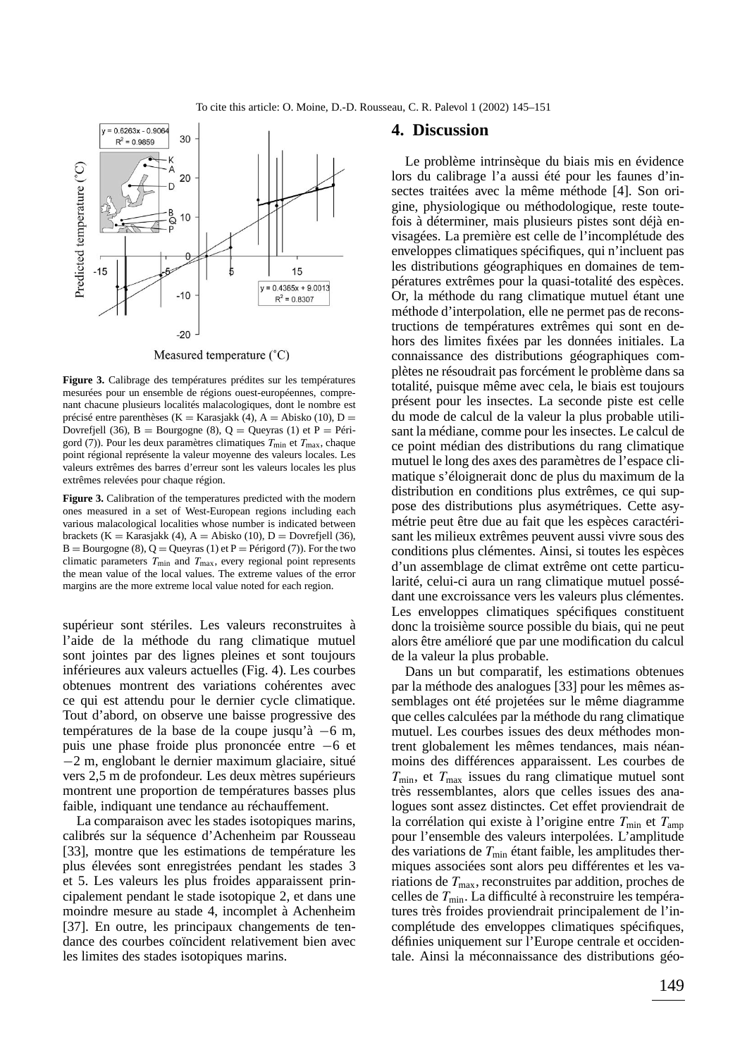

Measured temperature  $(^{\circ}C)$ 

**Figure 3.** Calibrage des températures prédites sur les températures mesurées pour un ensemble de régions ouest-européennes, comprenant chacune plusieurs localités malacologiques, dont le nombre est précisé entre parenthèses (K = Karasjakk (4), A = Abisko (10), D = Dovrefjell (36), B = Bourgogne (8), Q = Queyras (1) et P = Périgord (7)). Pour les deux paramètres climatiques  $T_{\text{min}}$  et  $T_{\text{max}}$ , chaque point régional représente la valeur moyenne des valeurs locales. Les valeurs extrêmes des barres d'erreur sont les valeurs locales les plus extrêmes relevées pour chaque région.

**Figure 3.** Calibration of the temperatures predicted with the modern ones measured in a set of West-European regions including each various malacological localities whose number is indicated between brackets (K = Karasjakk (4), A = Abisko (10), D = Dovrefjell (36),  $B = B$ ourgogne (8),  $Q = Q$ ueyras (1) et P = Périgord (7)). For the two climatic parameters *T*min and *T*max, every regional point represents the mean value of the local values. The extreme values of the error margins are the more extreme local value noted for each region.

supérieur sont stériles. Les valeurs reconstruites à l'aide de la méthode du rang climatique mutuel sont jointes par des lignes pleines et sont toujours inférieures aux valeurs actuelles (Fig. 4). Les courbes obtenues montrent des variations cohérentes avec ce qui est attendu pour le dernier cycle climatique. Tout d'abord, on observe une baisse progressive des températures de la base de la coupe jusqu'à −6 m, puis une phase froide plus prononcée entre −6 et −2 m, englobant le dernier maximum glaciaire, situé vers 2,5 m de profondeur. Les deux mètres supérieurs montrent une proportion de températures basses plus faible, indiquant une tendance au réchauffement.

La comparaison avec les stades isotopiques marins, calibrés sur la séquence d'Achenheim par Rousseau [33], montre que les estimations de température les plus élevées sont enregistrées pendant les stades 3 et 5. Les valeurs les plus froides apparaissent principalement pendant le stade isotopique 2, et dans une moindre mesure au stade 4, incomplet à Achenheim [37]. En outre, les principaux changements de tendance des courbes coïncident relativement bien avec les limites des stades isotopiques marins.

#### **4. Discussion**

Le problème intrinsèque du biais mis en évidence lors du calibrage l'a aussi été pour les faunes d'insectes traitées avec la même méthode [4]. Son origine, physiologique ou méthodologique, reste toutefois à déterminer, mais plusieurs pistes sont déjà envisagées. La première est celle de l'incomplétude des enveloppes climatiques spécifiques, qui n'incluent pas les distributions géographiques en domaines de températures extrêmes pour la quasi-totalité des espèces. Or, la méthode du rang climatique mutuel étant une méthode d'interpolation, elle ne permet pas de reconstructions de températures extrêmes qui sont en dehors des limites fixées par les données initiales. La connaissance des distributions géographiques complètes ne résoudrait pas forcément le problème dans sa totalité, puisque même avec cela, le biais est toujours présent pour les insectes. La seconde piste est celle du mode de calcul de la valeur la plus probable utilisant la médiane, comme pour les insectes. Le calcul de ce point médian des distributions du rang climatique mutuel le long des axes des paramètres de l'espace climatique s'éloignerait donc de plus du maximum de la distribution en conditions plus extrêmes, ce qui suppose des distributions plus asymétriques. Cette asymétrie peut être due au fait que les espèces caractérisant les milieux extrêmes peuvent aussi vivre sous des conditions plus clémentes. Ainsi, si toutes les espèces d'un assemblage de climat extrême ont cette particularité, celui-ci aura un rang climatique mutuel possédant une excroissance vers les valeurs plus clémentes. Les enveloppes climatiques spécifiques constituent donc la troisième source possible du biais, qui ne peut alors être amélioré que par une modification du calcul de la valeur la plus probable.

Dans un but comparatif, les estimations obtenues par la méthode des analogues [33] pour les mêmes assemblages ont été projetées sur le même diagramme que celles calculées par la méthode du rang climatique mutuel. Les courbes issues des deux méthodes montrent globalement les mêmes tendances, mais néanmoins des différences apparaissent. Les courbes de *T*min, et *T*max issues du rang climatique mutuel sont très ressemblantes, alors que celles issues des analogues sont assez distinctes. Cet effet proviendrait de la corrélation qui existe à l'origine entre  $T_{\text{min}}$  et  $T_{\text{amp}}$ pour l'ensemble des valeurs interpolées. L'amplitude des variations de  $T_{\text{min}}$  étant faible, les amplitudes thermiques associées sont alors peu différentes et les variations de *T*max, reconstruites par addition, proches de celles de *T*min. La difficulté à reconstruire les températures très froides proviendrait principalement de l'incomplétude des enveloppes climatiques spécifiques, définies uniquement sur l'Europe centrale et occidentale. Ainsi la méconnaissance des distributions géo-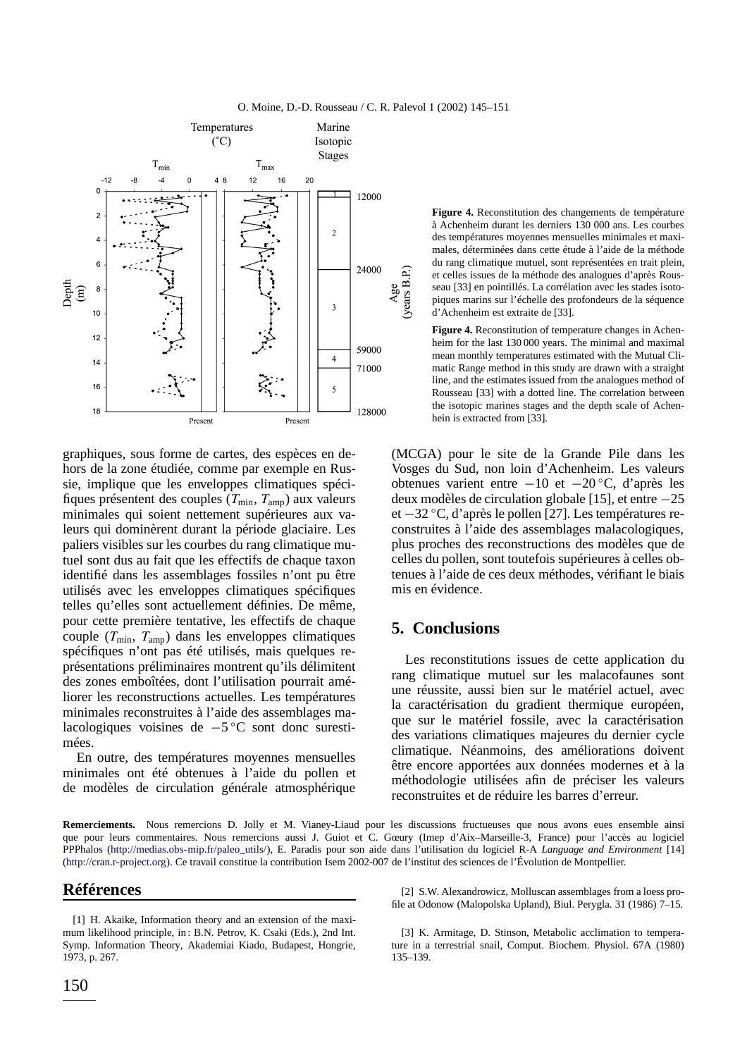



graphiques, sous forme de cartes, des espèces en dehors de la zone étudiée, comme par exemple en Russie, implique que les enveloppes climatiques spécifiques présentent des couples (*T*min, *T*amp) aux valeurs minimales qui soient nettement supérieures aux valeurs qui dominèrent durant la période glaciaire. Les paliers visibles sur les courbes du rang climatique mutuel sont dus au fait que les effectifs de chaque taxon identifié dans les assemblages fossiles n'ont pu être utilisés avec les enveloppes climatiques spécifiques telles qu'elles sont actuellement définies. De même, pour cette première tentative, les effectifs de chaque couple  $(T_{min}, T_{amp})$  dans les enveloppes climatiques spécifiques n'ont pas été utilisés, mais quelques représentations préliminaires montrent qu'ils délimitent des zones emboîtées, dont l'utilisation pourrait améliorer les reconstructions actuelles. Les températures minimales reconstruites à l'aide des assemblages malacologiques voisines de −5 ◦C sont donc surestimées.

En outre, des températures moyennes mensuelles minimales ont été obtenues à l'aide du pollen et de modèles de circulation générale atmosphérique **Figure 4.** Reconstitution des changements de température à Achenheim durant les derniers 130 000 ans. Les courbes des températures moyennes mensuelles minimales et maximales, déterminées dans cette étude à l'aide de la méthode du rang climatique mutuel, sont représentées en trait plein, et celles issues de la méthode des analogues d'après Rousseau [33] en pointillés. La corrélation avec les stades isotopiques marins sur l'échelle des profondeurs de la séquence d'Achenheim est extraite de [33].

**Figure 4.** Reconstitution of temperature changes in Achenheim for the last 130 000 years. The minimal and maximal mean monthly temperatures estimated with the Mutual Climatic Range method in this study are drawn with a straight line, and the estimates issued from the analogues method of Rousseau [33] with a dotted line. The correlation between the isotopic marines stages and the depth scale of Achenhein is extracted from [33].

(MCGA) pour le site de la Grande Pile dans les Vosges du Sud, non loin d'Achenheim. Les valeurs obtenues varient entre −10 et −20 ◦C, d'après les deux modèles de circulation globale [15], et entre −25 et −32 ◦C, d'après le pollen [27]. Les températures reconstruites à l'aide des assemblages malacologiques, plus proches des reconstructions des modèles que de celles du pollen, sont toutefois supérieures à celles obtenues à l'aide de ces deux méthodes, vérifiant le biais mis en évidence.

## **5. Conclusions**

Les reconstitutions issues de cette application du rang climatique mutuel sur les malacofaunes sont une réussite, aussi bien sur le matériel actuel, avec la caractérisation du gradient thermique européen, que sur le matériel fossile, avec la caractérisation des variations climatiques majeures du dernier cycle climatique. Néanmoins, des améliorations doivent être encore apportées aux données modernes et à la méthodologie utilisées afin de préciser les valeurs reconstruites et de réduire les barres d'erreur.

**Remerciements.** Nous remercions D. Jolly et M. Vianey-Liaud pour les discussions fructueuses que nous avons eues ensemble ainsi que pour leurs commentaires. Nous remercions aussi J. Guiot et C. Gœury (Imep d'Aix–Marseille-3, France) pour l'accès au logiciel PPPhalos [\(http://medias.obs-mip.fr/paleo\\_utils/\)](http://medias.obs-mip.fr/paleo_utils/), E. Paradis pour son aide dans l'utilisation du logiciel R-A *Language and Environment* [14] [\(http://cran.r-project.org\)](http://cran.r-project.org). Ce travail constitue la contribution Isem 2002-007 de l'institut des sciences de l'Évolution de Montpellier.

#### **Références**

[2] S.W. Alexandrowicz, Molluscan assemblages from a loess profile at Odonow (Malopolska Upland), Biul. Perygla. 31 (1986) 7–15.

[3] K. Armitage, D. Stinson, Metabolic acclimation to temperature in a terrestrial snail, Comput. Biochem. Physiol. 67A (1980) 135–139.

<sup>[1]</sup> H. Akaike, Information theory and an extension of the maximum likelihood principle, in : B.N. Petrov, K. Csaki (Eds.), 2nd Int. Symp. Information Theory, Akademiai Kiado, Budapest, Hongrie, 1973, p. 267.